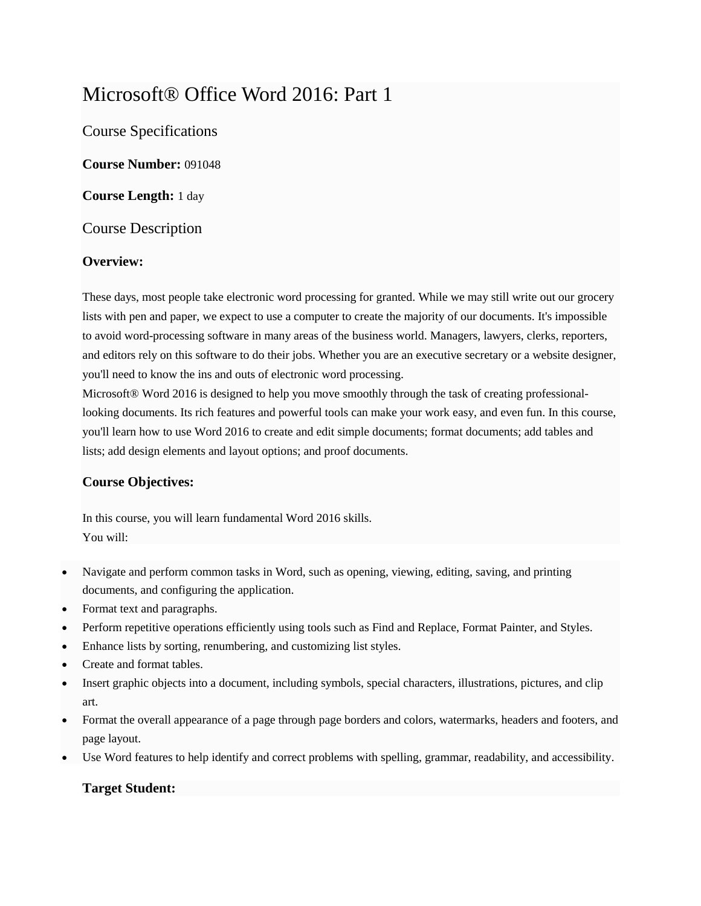# Microsoft® Office Word 2016: Part 1

Course Specifications

**Course Number:** 091048

**Course Length:** 1 day

Course Description

## **Overview:**

These days, most people take electronic word processing for granted. While we may still write out our grocery lists with pen and paper, we expect to use a computer to create the majority of our documents. It's impossible to avoid word-processing software in many areas of the business world. Managers, lawyers, clerks, reporters, and editors rely on this software to do their jobs. Whether you are an executive secretary or a website designer, you'll need to know the ins and outs of electronic word processing.

Microsoft® Word 2016 is designed to help you move smoothly through the task of creating professionallooking documents. Its rich features and powerful tools can make your work easy, and even fun. In this course, you'll learn how to use Word 2016 to create and edit simple documents; format documents; add tables and lists; add design elements and layout options; and proof documents.

# **Course Objectives:**

In this course, you will learn fundamental Word 2016 skills. You will:

- Navigate and perform common tasks in Word, such as opening, viewing, editing, saving, and printing documents, and configuring the application.
- Format text and paragraphs.
- Perform repetitive operations efficiently using tools such as Find and Replace, Format Painter, and Styles.
- Enhance lists by sorting, renumbering, and customizing list styles.
- Create and format tables.
- Insert graphic objects into a document, including symbols, special characters, illustrations, pictures, and clip art.
- Format the overall appearance of a page through page borders and colors, watermarks, headers and footers, and page layout.
- Use Word features to help identify and correct problems with spelling, grammar, readability, and accessibility.

# **Target Student:**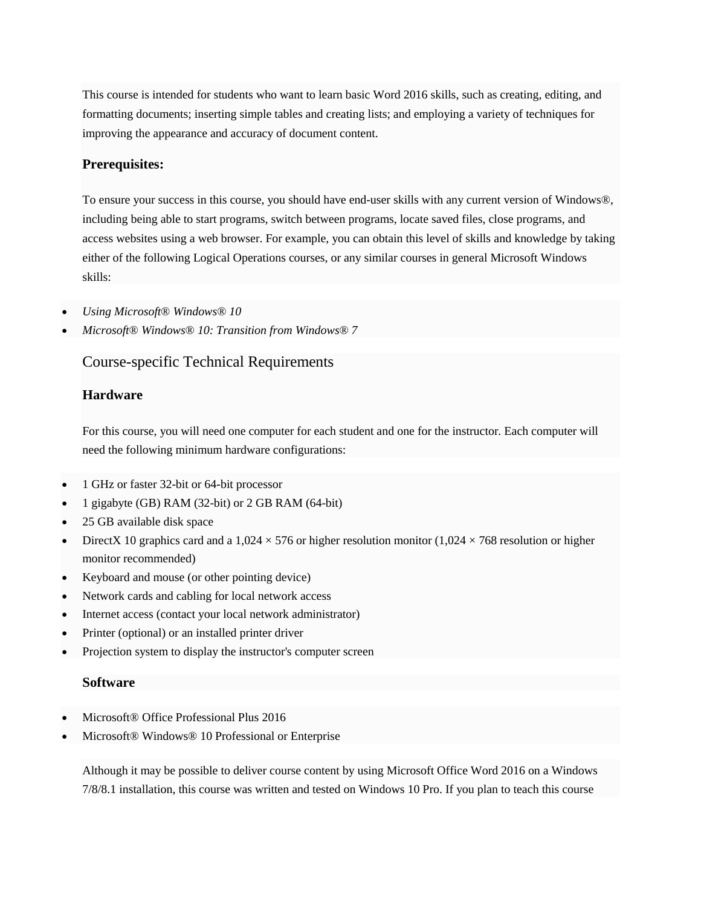This course is intended for students who want to learn basic Word 2016 skills, such as creating, editing, and formatting documents; inserting simple tables and creating lists; and employing a variety of techniques for improving the appearance and accuracy of document content.

#### **Prerequisites:**

To ensure your success in this course, you should have end-user skills with any current version of Windows®, including being able to start programs, switch between programs, locate saved files, close programs, and access websites using a web browser. For example, you can obtain this level of skills and knowledge by taking either of the following Logical Operations courses, or any similar courses in general Microsoft Windows skills:

- *Using Microsoft® Windows® 10*
- *Microsoft® Windows® 10: Transition from Windows® 7*

## Course-specific Technical Requirements

#### **Hardware**

For this course, you will need one computer for each student and one for the instructor. Each computer will need the following minimum hardware configurations:

- 1 GHz or faster 32-bit or 64-bit processor
- 1 gigabyte (GB) RAM (32-bit) or 2 GB RAM (64-bit)
- 25 GB available disk space
- DirectX 10 graphics card and a  $1,024 \times 576$  or higher resolution monitor (1,024  $\times$  768 resolution or higher monitor recommended)
- Keyboard and mouse (or other pointing device)
- Network cards and cabling for local network access
- Internet access (contact your local network administrator)
- Printer (optional) or an installed printer driver
- Projection system to display the instructor's computer screen

#### **Software**

- Microsoft® Office Professional Plus 2016
- Microsoft® Windows® 10 Professional or Enterprise

Although it may be possible to deliver course content by using Microsoft Office Word 2016 on a Windows 7/8/8.1 installation, this course was written and tested on Windows 10 Pro. If you plan to teach this course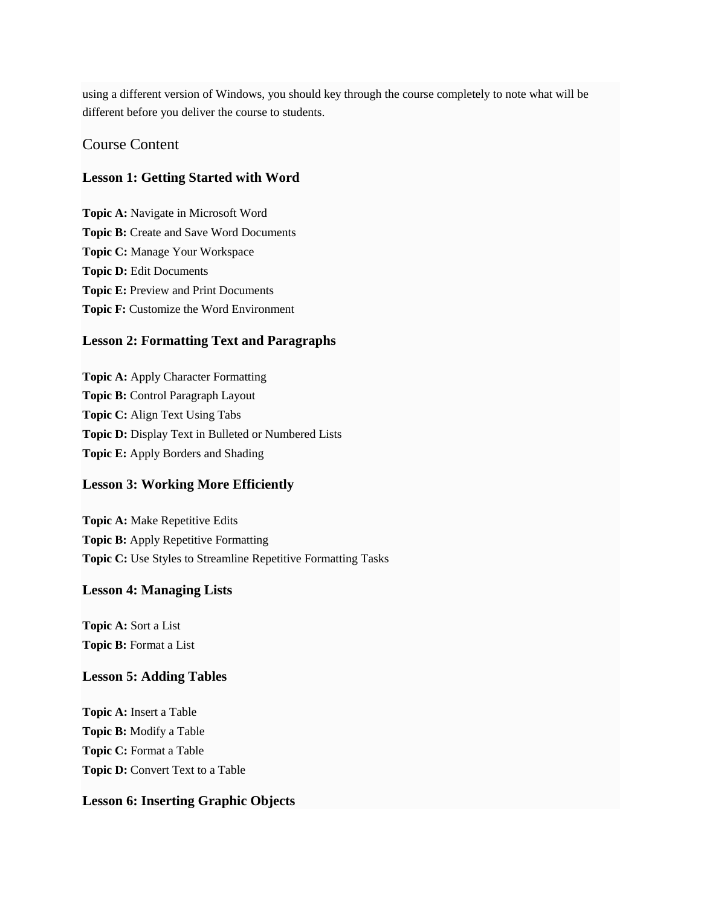using a different version of Windows, you should key through the course completely to note what will be different before you deliver the course to students.

#### Course Content

#### **Lesson 1: Getting Started with Word**

**Topic A:** Navigate in Microsoft Word **Topic B:** Create and Save Word Documents **Topic C:** Manage Your Workspace **Topic D:** Edit Documents **Topic E:** Preview and Print Documents **Topic F:** Customize the Word Environment

#### **Lesson 2: Formatting Text and Paragraphs**

**Topic A:** Apply Character Formatting **Topic B:** Control Paragraph Layout **Topic C:** Align Text Using Tabs **Topic D:** Display Text in Bulleted or Numbered Lists **Topic E:** Apply Borders and Shading

#### **Lesson 3: Working More Efficiently**

**Topic A:** Make Repetitive Edits **Topic B:** Apply Repetitive Formatting **Topic C:** Use Styles to Streamline Repetitive Formatting Tasks

#### **Lesson 4: Managing Lists**

**Topic A:** Sort a List **Topic B:** Format a List

#### **Lesson 5: Adding Tables**

**Topic A:** Insert a Table **Topic B:** Modify a Table **Topic C:** Format a Table **Topic D:** Convert Text to a Table

#### **Lesson 6: Inserting Graphic Objects**